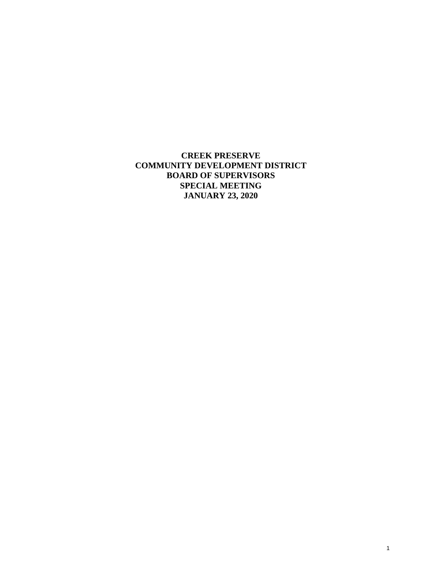**CREEK PRESERVE COMMUNITY DEVELOPMENT DISTRICT BOARD OF SUPERVISORS SPECIAL MEETING JANUARY 23, 2020**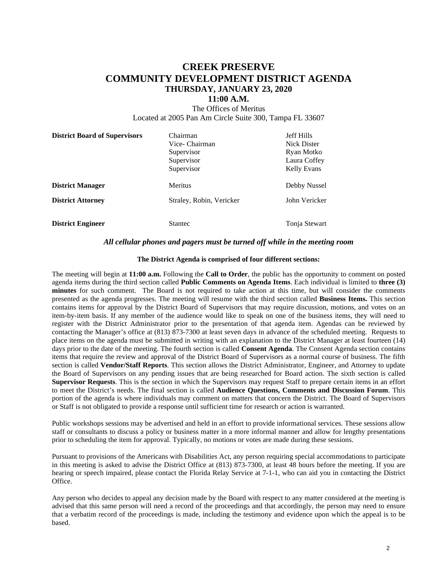# **CREEK PRESERVE COMMUNITY DEVELOPMENT DISTRICT AGENDA THURSDAY, JANUARY 23, 2020**

### **11:00 A.M.**

The Offices of Meritus Located at 2005 Pan Am Circle Suite 300, Tampa FL 33607

| <b>District Board of Supervisors</b> | Chairman<br>Vice- Chairman<br>Supervisor<br>Supervisor<br>Supervisor | <b>Jeff Hills</b><br><b>Nick Dister</b><br>Ryan Motko<br>Laura Coffey<br><b>Kelly Evans</b> |
|--------------------------------------|----------------------------------------------------------------------|---------------------------------------------------------------------------------------------|
| <b>District Manager</b>              | Meritus                                                              | Debby Nussel                                                                                |
| <b>District Attorney</b>             | Straley, Robin, Vericker                                             | John Vericker                                                                               |
| <b>District Engineer</b>             | <b>Stantec</b>                                                       | Tonja Stewart                                                                               |

### *All cellular phones and pagers must be turned off while in the meeting room*

### **The District Agenda is comprised of four different sections:**

The meeting will begin at **11:00 a.m.** Following the **Call to Order**, the public has the opportunity to comment on posted agenda items during the third section called **Public Comments on Agenda Items**. Each individual is limited to **three (3) minutes** for such comment. The Board is not required to take action at this time, but will consider the comments presented as the agenda progresses. The meeting will resume with the third section called **Business Items.** This section contains items for approval by the District Board of Supervisors that may require discussion, motions, and votes on an item-by-item basis. If any member of the audience would like to speak on one of the business items, they will need to register with the District Administrator prior to the presentation of that agenda item. Agendas can be reviewed by contacting the Manager's office at (813) 873-7300 at least seven days in advance of the scheduled meeting. Requests to place items on the agenda must be submitted in writing with an explanation to the District Manager at least fourteen (14) days prior to the date of the meeting. The fourth section is called **Consent Agenda**. The Consent Agenda section contains items that require the review and approval of the District Board of Supervisors as a normal course of business. The fifth section is called **Vendor/Staff Reports**. This section allows the District Administrator, Engineer, and Attorney to update the Board of Supervisors on any pending issues that are being researched for Board action. The sixth section is called **Supervisor Requests**. This is the section in which the Supervisors may request Staff to prepare certain items in an effort to meet the District's needs. The final section is called **Audience Questions, Comments and Discussion Forum**. This portion of the agenda is where individuals may comment on matters that concern the District. The Board of Supervisors or Staff is not obligated to provide a response until sufficient time for research or action is warranted.

Public workshops sessions may be advertised and held in an effort to provide informational services. These sessions allow staff or consultants to discuss a policy or business matter in a more informal manner and allow for lengthy presentations prior to scheduling the item for approval. Typically, no motions or votes are made during these sessions.

Pursuant to provisions of the Americans with Disabilities Act, any person requiring special accommodations to participate in this meeting is asked to advise the District Office at (813) 873-7300, at least 48 hours before the meeting. If you are hearing or speech impaired, please contact the Florida Relay Service at 7-1-1, who can aid you in contacting the District Office.

Any person who decides to appeal any decision made by the Board with respect to any matter considered at the meeting is advised that this same person will need a record of the proceedings and that accordingly, the person may need to ensure that a verbatim record of the proceedings is made, including the testimony and evidence upon which the appeal is to be based.